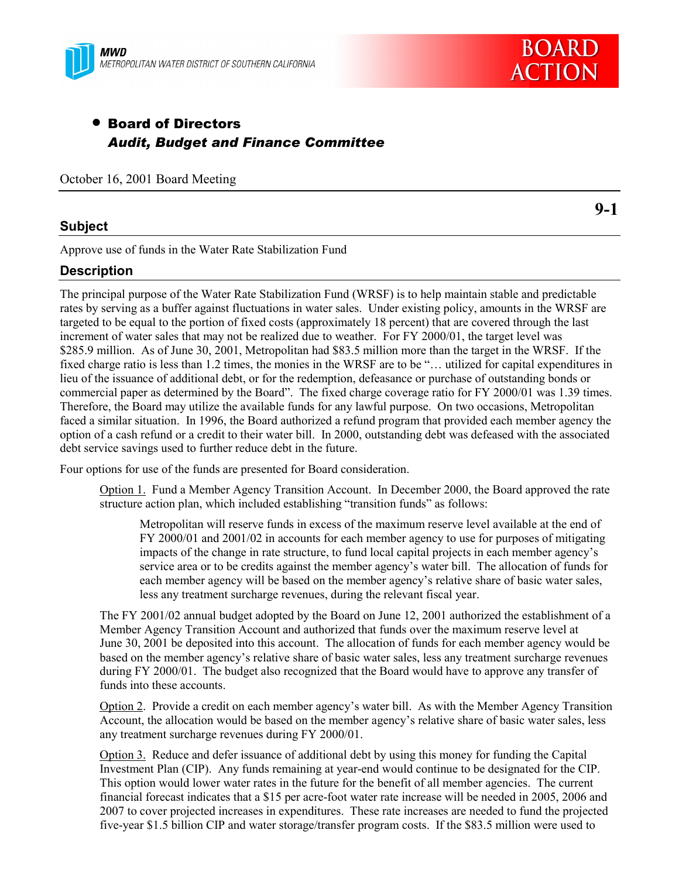



**9-1**

# • Board of Directors *Audit, Budget and Finance Committee*

October 16, 2001 Board Meeting

## **Subject**

Approve use of funds in the Water Rate Stabilization Fund

# **Description**

The principal purpose of the Water Rate Stabilization Fund (WRSF) is to help maintain stable and predictable rates by serving as a buffer against fluctuations in water sales. Under existing policy, amounts in the WRSF are targeted to be equal to the portion of fixed costs (approximately 18 percent) that are covered through the last increment of water sales that may not be realized due to weather. For FY 2000/01, the target level was \$285.9 million. As of June 30, 2001, Metropolitan had \$83.5 million more than the target in the WRSF. If the fixed charge ratio is less than 1.2 times, the monies in the WRSF are to be "... utilized for capital expenditures in lieu of the issuance of additional debt, or for the redemption, defeasance or purchase of outstanding bonds or commercial paper as determined by the Board". The fixed charge coverage ratio for FY 2000/01 was 1.39 times. Therefore, the Board may utilize the available funds for any lawful purpose. On two occasions, Metropolitan faced a similar situation. In 1996, the Board authorized a refund program that provided each member agency the option of a cash refund or a credit to their water bill. In 2000, outstanding debt was defeased with the associated debt service savings used to further reduce debt in the future.

Four options for use of the funds are presented for Board consideration.

Option 1. Fund a Member Agency Transition Account. In December 2000, the Board approved the rate structure action plan, which included establishing "transition funds" as follows:

Metropolitan will reserve funds in excess of the maximum reserve level available at the end of FY 2000/01 and 2001/02 in accounts for each member agency to use for purposes of mitigating impacts of the change in rate structure, to fund local capital projects in each member agency's service area or to be credits against the member agency's water bill. The allocation of funds for each member agency will be based on the member agency's relative share of basic water sales, less any treatment surcharge revenues, during the relevant fiscal year.

The FY 2001/02 annual budget adopted by the Board on June 12, 2001 authorized the establishment of a Member Agency Transition Account and authorized that funds over the maximum reserve level at June 30, 2001 be deposited into this account. The allocation of funds for each member agency would be based on the member agencyís relative share of basic water sales, less any treatment surcharge revenues during FY 2000/01. The budget also recognized that the Board would have to approve any transfer of funds into these accounts.

Option 2. Provide a credit on each member agency's water bill. As with the Member Agency Transition Account, the allocation would be based on the member agency's relative share of basic water sales, less any treatment surcharge revenues during FY 2000/01.

Option 3. Reduce and defer issuance of additional debt by using this money for funding the Capital Investment Plan (CIP). Any funds remaining at year-end would continue to be designated for the CIP. This option would lower water rates in the future for the benefit of all member agencies. The current financial forecast indicates that a \$15 per acre-foot water rate increase will be needed in 2005, 2006 and 2007 to cover projected increases in expenditures. These rate increases are needed to fund the projected five-year \$1.5 billion CIP and water storage/transfer program costs. If the \$83.5 million were used to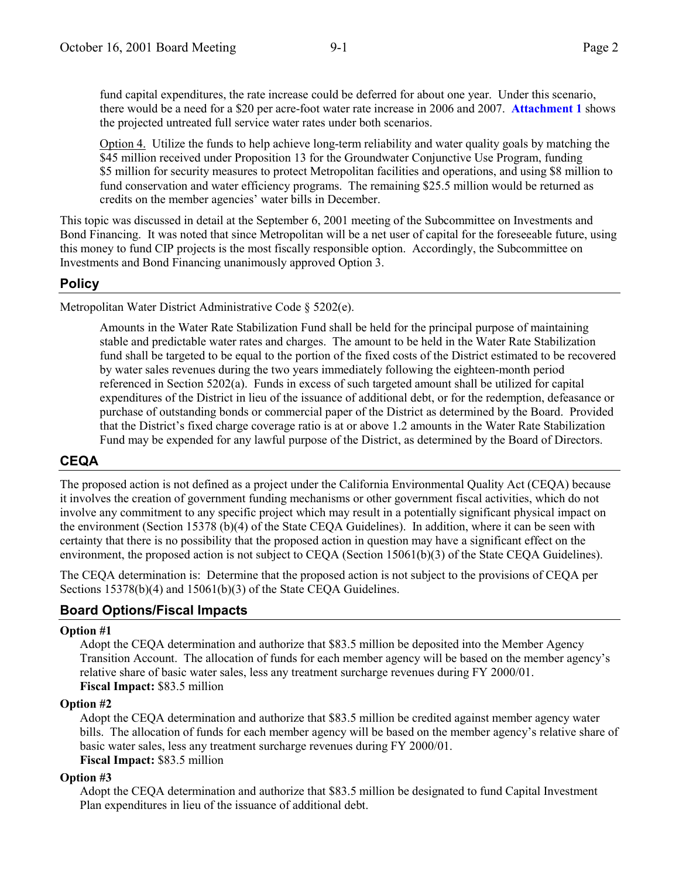fund capital expenditures, the rate increase could be deferred for about one year. Under this scenario, there would be a need for a \$20 per acre-foot water rate increase in 2006 and 2007. **Attachment 1** shows the projected untreated full service water rates under both scenarios.

Option 4. Utilize the funds to help achieve long-term reliability and water quality goals by matching the \$45 million received under Proposition 13 for the Groundwater Conjunctive Use Program, funding \$5 million for security measures to protect Metropolitan facilities and operations, and using \$8 million to fund conservation and water efficiency programs. The remaining \$25.5 million would be returned as credits on the member agencies' water bills in December.

This topic was discussed in detail at the September 6, 2001 meeting of the Subcommittee on Investments and Bond Financing. It was noted that since Metropolitan will be a net user of capital for the foreseeable future, using this money to fund CIP projects is the most fiscally responsible option. Accordingly, the Subcommittee on Investments and Bond Financing unanimously approved Option 3.

# **Policy**

Metropolitan Water District Administrative Code ß 5202(e).

Amounts in the Water Rate Stabilization Fund shall be held for the principal purpose of maintaining stable and predictable water rates and charges. The amount to be held in the Water Rate Stabilization fund shall be targeted to be equal to the portion of the fixed costs of the District estimated to be recovered by water sales revenues during the two years immediately following the eighteen-month period referenced in Section 5202(a). Funds in excess of such targeted amount shall be utilized for capital expenditures of the District in lieu of the issuance of additional debt, or for the redemption, defeasance or purchase of outstanding bonds or commercial paper of the District as determined by the Board. Provided that the District's fixed charge coverage ratio is at or above 1.2 amounts in the Water Rate Stabilization Fund may be expended for any lawful purpose of the District, as determined by the Board of Directors.

# **CEQA**

The proposed action is not defined as a project under the California Environmental Quality Act (CEQA) because it involves the creation of government funding mechanisms or other government fiscal activities, which do not involve any commitment to any specific project which may result in a potentially significant physical impact on the environment (Section 15378 (b)(4) of the State CEQA Guidelines). In addition, where it can be seen with certainty that there is no possibility that the proposed action in question may have a significant effect on the environment, the proposed action is not subject to CEQA (Section 15061(b)(3) of the State CEQA Guidelines).

The CEQA determination is: Determine that the proposed action is not subject to the provisions of CEQA per Sections 15378(b)(4) and 15061(b)(3) of the State CEOA Guidelines.

# **Board Options/Fiscal Impacts**

## **Option #1**

Adopt the CEQA determination and authorize that \$83.5 million be deposited into the Member Agency Transition Account. The allocation of funds for each member agency will be based on the member agency's relative share of basic water sales, less any treatment surcharge revenues during FY 2000/01. **Fiscal Impact:** \$83.5 million

## **Option #2**

Adopt the CEQA determination and authorize that \$83.5 million be credited against member agency water bills. The allocation of funds for each member agency will be based on the member agency's relative share of basic water sales, less any treatment surcharge revenues during FY 2000/01. **Fiscal Impact:** \$83.5 million

#### **Option #3**

Adopt the CEQA determination and authorize that \$83.5 million be designated to fund Capital Investment Plan expenditures in lieu of the issuance of additional debt.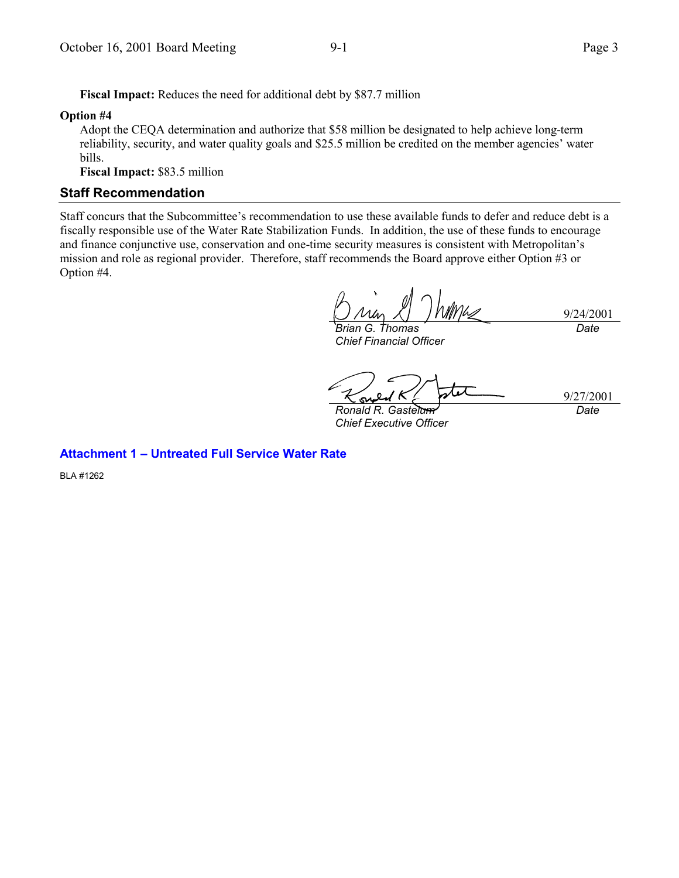**Fiscal Impact:** Reduces the need for additional debt by \$87.7 million

#### **Option #4**

Adopt the CEQA determination and authorize that \$58 million be designated to help achieve long-term reliability, security, and water quality goals and \$25.5 million be credited on the member agencies' water bills.

**Fiscal Impact:** \$83.5 million

#### **Staff Recommendation**

Staff concurs that the Subcommittee's recommendation to use these available funds to defer and reduce debt is a fiscally responsible use of the Water Rate Stabilization Funds. In addition, the use of these funds to encourage and finance conjunctive use, conservation and one-time security measures is consistent with Metropolitan's mission and role as regional provider. Therefore, staff recommends the Board approve either Option #3 or Option #4.

9/24/2001 *Brian G. Thomas Date*

*Chief Financial Officer*

9/27/2001

*Ronald R. Gastelum Chief Executive Officer*

*Date*

### **Attachment 1 - Untreated Full Service Water Rate**

BLA #1262